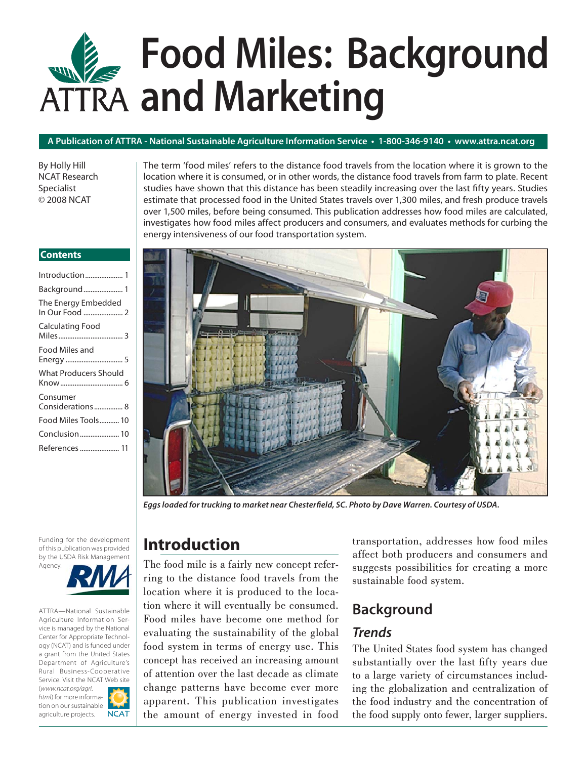# **Food Miles: Background and Marketing**

#### **A Publication of ATTRA - National Sustainable Agriculture Information Service • 1-800-346-9140 • www.attra.ncat.org**

By Holly Hill NCAT Research Specialist © 2008 NCAT

The term 'food miles' refers to the distance food travels from the location where it is grown to the location where it is consumed, or in other words, the distance food travels from farm to plate. Recent studies have shown that this distance has been steadily increasing over the last fifty years. Studies estimate that processed food in the United States travels over 1,300 miles, and fresh produce travels over 1,500 miles, before being consumed. This publication addresses how food miles are calculated, investigates how food miles affect producers and consumers, and evaluates methods for curbing the energy intensiveness of our food transportation system.

#### **Contents**

| Introduction 1                |
|-------------------------------|
| Background 1                  |
| The Energy Embedded           |
| Calculating Food              |
| Food Miles and<br>Energy  5   |
| <b>What Producers Should</b>  |
| Consumer<br>Considerations  8 |
| Food Miles Tools 10           |
| Conclusion 10                 |
| References  11                |
|                               |

Funding for the development of this publication was provided by the USDA Risk Management Agency.

ATTRA—National Sustainable Agriculture Information Service is managed by the National Center for Appropriate Technology (NCAT) and is funded under a grant from the United States Department of Agriculture's Rural Business-Cooperative Service. Visit the NCAT Web site (*www.ncat.org/agri. html*) for more information on our sustainable **NCAT** agriculture projects.



Eggs loaded for trucking to market near Chesterfield, SC. Photo by Dave Warren. Courtesy of USDA.

## **Introduction**

The food mile is a fairly new concept referring to the distance food travels from the location where it is produced to the location where it will eventually be consumed. Food miles have become one method for evaluating the sustainability of the global food system in terms of energy use. This concept has received an increasing amount of attention over the last decade as climate change patterns have become ever more apparent. This publication investigates the amount of energy invested in food transportation, addresses how food miles affect both producers and consumers and suggests possibilities for creating a more sustainable food system.

## **Background**

#### *Trends*

The United States food system has changed substantially over the last fifty years due to a large variety of circumstances including the globalization and centralization of the food industry and the concentration of the food supply onto fewer, larger suppliers.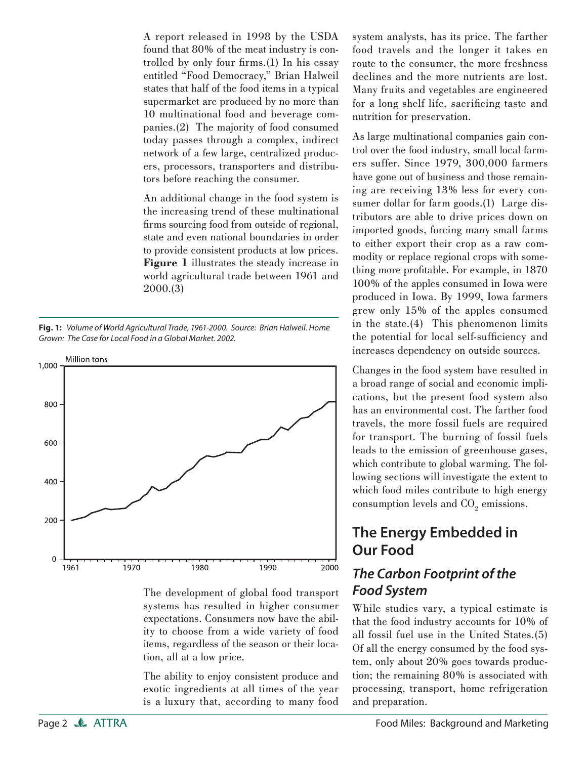A report released in 1998 by the USDA found that 80% of the meat industry is controlled by only four firms. $(1)$  In his essay entitled "Food Democracy," Brian Halweil states that half of the food items in a typical supermarket are produced by no more than 10 multinational food and beverage companies.(2) The majority of food consumed today passes through a complex, indirect network of a few large, centralized producers, processors, transporters and distributors before reaching the consumer.

An additional change in the food system is the increasing trend of these multinational firms sourcing food from outside of regional, state and even national boundaries in order to provide consistent products at low prices. **Figure 1** illustrates the steady increase in world agricultural trade between 1961 and 2000.(3)

**Fig. 1:**Volume of World Agricultural Trade, 1961-2000. Source: Brian Halweil. Home Grown: The Case for Local Food in a Global Market. 2002.



The development of global food transport systems has resulted in higher consumer expectations. Consumers now have the ability to choose from a wide variety of food items, regardless of the season or their location, all at a low price.

The ability to enjoy consistent produce and exotic ingredients at all times of the year is a luxury that, according to many food

system analysts, has its price. The farther food travels and the longer it takes en route to the consumer, the more freshness declines and the more nutrients are lost. Many fruits and vegetables are engineered for a long shelf life, sacrificing taste and nutrition for preservation.

As large multinational companies gain control over the food industry, small local farmers suffer. Since 1979, 300,000 farmers have gone out of business and those remaining are receiving 13% less for every consumer dollar for farm goods.(1) Large distributors are able to drive prices down on imported goods, forcing many small farms to either export their crop as a raw commodity or replace regional crops with something more profitable. For example, in 1870 100% of the apples consumed in Iowa were produced in Iowa. By 1999, Iowa farmers grew only 15% of the apples consumed in the state.(4) This phenomenon limits the potential for local self-sufficiency and increases dependency on outside sources.

Changes in the food system have resulted in a broad range of social and economic implications, but the present food system also has an environmental cost. The farther food travels, the more fossil fuels are required for transport. The burning of fossil fuels leads to the emission of greenhouse gases, which contribute to global warming. The following sections will investigate the extent to which food miles contribute to high energy consumption levels and  $\mathrm{CO}_2$  emissions.

## **The Energy Embedded in Our Food**

## *The Carbon Footprint of the Food System*

While studies vary, a typical estimate is that the food industry accounts for 10% of all fossil fuel use in the United States.(5) Of all the energy consumed by the food system, only about 20% goes towards production; the remaining 80% is associated with processing, transport, home refrigeration and preparation.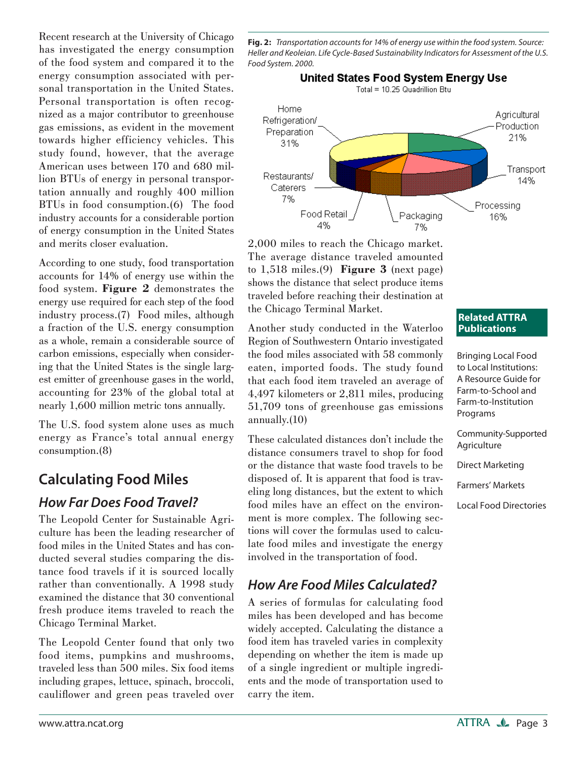Recent research at the University of Chicago has investigated the energy consumption of the food system and compared it to the energy consumption associated with personal transportation in the United States. Personal transportation is often recognized as a major contributor to greenhouse gas emissions, as evident in the movement towards higher efficiency vehicles. This study found, however, that the average American uses between 170 and 680 million BTUs of energy in personal transportation annually and roughly 400 million BTUs in food consumption.(6) The food industry accounts for a considerable portion of energy consumption in the United States and merits closer evaluation.

According to one study, food transportation accounts for 14% of energy use within the food system. **Figure 2** demonstrates the energy use required for each step of the food industry process.(7) Food miles, although a fraction of the U.S. energy consumption as a whole, remain a considerable source of carbon emissions, especially when considering that the United States is the single largest emitter of greenhouse gases in the world, accounting for 23% of the global total at nearly 1,600 million metric tons annually.

The U.S. food system alone uses as much energy as France's total annual energy consumption.(8)

## **Calculating Food Miles**

#### *How Far Does Food Travel?*

The Leopold Center for Sustainable Agriculture has been the leading researcher of food miles in the United States and has conducted several studies comparing the distance food travels if it is sourced locally rather than conventionally. A 1998 study examined the distance that 30 conventional fresh produce items traveled to reach the Chicago Terminal Market.

The Leopold Center found that only two food items, pumpkins and mushrooms, traveled less than 500 miles. Six food items including grapes, lettuce, spinach, broccoli, cauliflower and green peas traveled over

**Fig. 2:** Transportation accounts for 14% of energy use within the food system. Source: Heller and Keoleian. Life Cycle-Based Sustainability Indicators for Assessment of the U.S. Food System. 2000.



2,000 miles to reach the Chicago market. The average distance traveled amounted to 1,518 miles.(9) **Figure 3** (next page) shows the distance that select produce items traveled before reaching their destination at the Chicago Terminal Market.

Another study conducted in the Waterloo Region of Southwestern Ontario investigated the food miles associated with 58 commonly eaten, imported foods. The study found that each food item traveled an average of 4,497 kilometers or 2,811 miles, producing 51,709 tons of greenhouse gas emissions annually.(10)

These calculated distances don't include the distance consumers travel to shop for food or the distance that waste food travels to be disposed of. It is apparent that food is traveling long distances, but the extent to which food miles have an effect on the environment is more complex. The following sections will cover the formulas used to calculate food miles and investigate the energy involved in the transportation of food.

## *How Are Food Miles Calculated?*

A series of formulas for calculating food miles has been developed and has become widely accepted. Calculating the distance a food item has traveled varies in complexity depending on whether the item is made up of a single ingredient or multiple ingredients and the mode of transportation used to carry the item.

#### **Related ATTRA Publications**

Bringing Local Food to Local Institutions: A Resource Guide for Farm-to-School and Farm-to-Institution Programs

Community-Supported **Agriculture** 

Direct Marketing

Farmers' Markets

Local Food Directories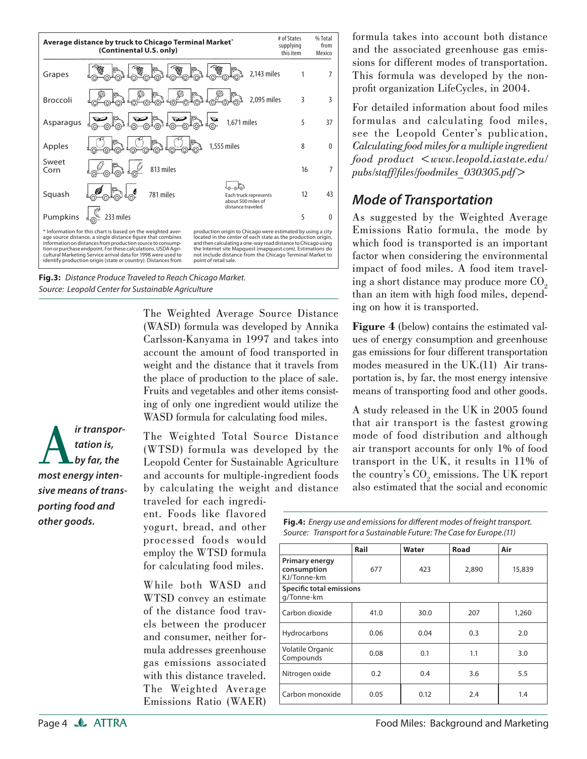

**Fig.3:**Distance Produce Traveled to Reach Chicago Market. Source: Leopold Center for Sustainable Agriculture

The Weighted Average Source Distance (WASD) formula was developed by Annika Carlsson-Kanyama in 1997 and takes into account the amount of food transported in weight and the distance that it travels from the place of production to the place of sale. Fruits and vegetables and other items consisting of only one ingredient would utilize the WASD formula for calculating food miles.

*ir transportation is,*<br> *by far, the*<br> *most energy intentation is, by far, the sive means of transporting food and other goods.*

The Weighted Total Source Distance (WTSD) formula was developed by the Leopold Center for Sustainable Agriculture and accounts for multiple-ingredient foods by calculating the weight and distance

traveled for each ingredient. Foods like flavored yogurt, bread, and other processed foods would employ the WTSD formula for calculating food miles.

While both WASD and WTSD convey an estimate of the distance food travels between the producer and consumer, neither formula addresses greenhouse gas emissions associated with this distance traveled. The Weighted Average Emissions Ratio (WAER) formula takes into account both distance and the associated greenhouse gas emissions for different modes of transportation. This formula was developed by the nonprofit organization LifeCycles, in 2004.

For detailed information about food miles formulas and calculating food miles, see the Leopold Center's publication, *Calculating food miles for a multiple ingredient food product <www.leopold.iastate.edu/ pubs/staff/fi les/foodmiles\_030305.pdf>*

#### *Mode of Transportation*

As suggested by the Weighted Average Emissions Ratio formula, the mode by which food is transported is an important factor when considering the environmental impact of food miles. A food item traveling a short distance may produce more  $CO<sub>2</sub>$ than an item with high food miles, depending on how it is transported.

**Figure 4** (below) contains the estimated values of energy consumption and greenhouse gas emissions for four different transportation modes measured in the UK.(11) Air transportation is, by far, the most energy intensive means of transporting food and other goods.

A study released in the UK in 2005 found that air transport is the fastest growing mode of food distribution and although air transport accounts for only 1% of food transport in the UK, it results in 11% of the country's  $\mathrm{CO}_2$  emissions. The UK report also estimated that the social and economic

Fig.4: Energy use and emissions for different modes of freight transport. Source: Transport for a Sustainable Future: The Case for Europe.(11)

|                                              | Rail | Water | <b>Road</b> | Air    |  |
|----------------------------------------------|------|-------|-------------|--------|--|
| Primary energy<br>consumption<br>KJ/Tonne-km | 677  | 423   | 2,890       | 15,839 |  |
| Specific total emissions<br>g/Tonne-km       |      |       |             |        |  |
| Carbon dioxide                               | 41.0 | 30.0  | 207         | 1,260  |  |
| Hydrocarbons                                 | 0.06 | 0.04  | 0.3         | 2.0    |  |
| Volatile Organic<br>Compounds                | 0.08 | 0.1   | 1.1         | 3.0    |  |
| Nitrogen oxide                               | 0.2  | 0.4   | 3.6         | 5.5    |  |
| Carbon monoxide                              | 0.05 | 0.12  | 2.4         | 1.4    |  |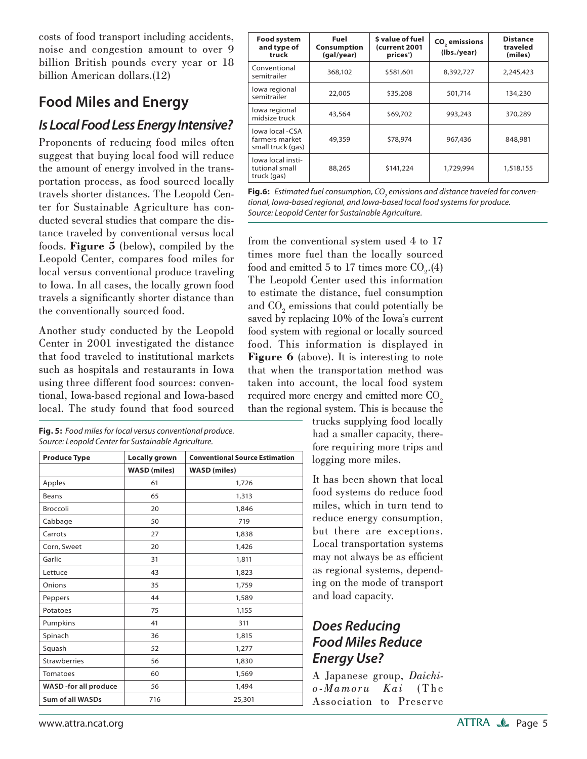costs of food transport including accidents, noise and congestion amount to over 9 billion British pounds every year or 18 billion American dollars.(12)

# **Food Miles and Energy**

#### *Is Local Food Less Energy Intensive?*

Proponents of reducing food miles often suggest that buying local food will reduce the amount of energy involved in the transportation process, as food sourced locally travels shorter distances. The Leopold Center for Sustainable Agriculture has conducted several studies that compare the distance traveled by conventional versus local foods. **Figure 5** (below), compiled by the Leopold Center, compares food miles for local versus conventional produce traveling to Iowa. In all cases, the locally grown food travels a significantly shorter distance than the conventionally sourced food.

Another study conducted by the Leopold Center in 2001 investigated the distance that food traveled to institutional markets such as hospitals and restaurants in Iowa using three different food sources: conventional, Iowa-based regional and Iowa-based local. The study found that food sourced

**Fig. 5:** Food miles for local versus conventional produce. Source: Leopold Center for Sustainable Agriculture.

| <b>Produce Type</b>     | Locally grown       | <b>Conventional Source Estimation</b> |  |
|-------------------------|---------------------|---------------------------------------|--|
|                         | <b>WASD</b> (miles) | <b>WASD</b> (miles)                   |  |
| Apples                  | 61                  | 1,726                                 |  |
| <b>Beans</b>            | 65                  | 1,313                                 |  |
| <b>Broccoli</b>         | 20                  | 1,846                                 |  |
| Cabbage                 | 50                  | 719                                   |  |
| Carrots                 | 27                  | 1,838                                 |  |
| Corn, Sweet             | 20                  | 1,426                                 |  |
| Garlic                  | 31                  | 1,811                                 |  |
| Lettuce                 | 43                  | 1,823                                 |  |
| Onions                  | 35                  | 1,759                                 |  |
| Peppers                 | 44                  | 1,589                                 |  |
| Potatoes                | 75                  | 1,155                                 |  |
| Pumpkins                | 41                  | 311                                   |  |
| Spinach                 | 36                  | 1,815                                 |  |
| Squash                  | 52                  | 1,277                                 |  |
| <b>Strawberries</b>     | 56                  | 1,830                                 |  |
| <b>Tomatoes</b>         | 60                  | 1,569                                 |  |
| WASD -for all produce   | 56                  | 1,494                                 |  |
| <b>Sum of all WASDs</b> | 716                 | 25,301                                |  |

| <b>Food system</b><br>and type of<br>truck             | Fuel<br><b>Consumption</b><br>(gal/year) | \$ value of fuel<br>(current 2001<br>prices <sup>*</sup> ) | CO <sub>2</sub> emissions<br>(lbs./year) | <b>Distance</b><br>traveled<br>(miles) |
|--------------------------------------------------------|------------------------------------------|------------------------------------------------------------|------------------------------------------|----------------------------------------|
| Conventional<br>semitrailer                            | 368,102                                  | \$581,601                                                  | 8,392,727                                | 2,245,423                              |
| lowa regional<br>semitrailer                           | 22,005                                   | \$35,208                                                   | 501,714                                  | 134,230                                |
| lowa regional<br>midsize truck                         | 43,564                                   | \$69,702                                                   | 993,243                                  | 370,289                                |
| lowa local -CSA<br>farmers market<br>small truck (gas) | 49,359                                   | \$78,974                                                   | 967,436                                  | 848,981                                |
| lowa local insti-<br>tutional small<br>truck (gas)     | 88,265                                   | \$141,224                                                  | 1,729,994                                | 1,518,155                              |

**Fig.6:** Estimated fuel consumption, CO<sub>2</sub> emissions and distance traveled for conventional, Iowa-based regional, and Iowa-based local food systems for produce. Source: Leopold Center for Sustainable Agriculture.

from the conventional system used 4 to 17 times more fuel than the locally sourced food and emitted 5 to 17 times more  $CO<sub>2</sub>$ .(4) The Leopold Center used this information to estimate the distance, fuel consumption and  $\mathrm{CO}_2$  emissions that could potentially be saved by replacing 10% of the Iowa's current food system with regional or locally sourced food. This information is displayed in **Figure 6** (above). It is interesting to note that when the transportation method was taken into account, the local food system required more energy and emitted more  $CO<sub>o</sub>$ than the regional system. This is because the

trucks supplying food locally had a smaller capacity, therefore requiring more trips and logging more miles.

It has been shown that local food systems do reduce food miles, which in turn tend to reduce energy consumption, but there are exceptions. Local transportation systems may not always be as efficient as regional systems, depending on the mode of transport and load capacity.

## *Does Reducing Food Miles Reduce Energy Use?*

A Japanese group, *Daichio-Mamoru Kai* ( T he Association to Preserve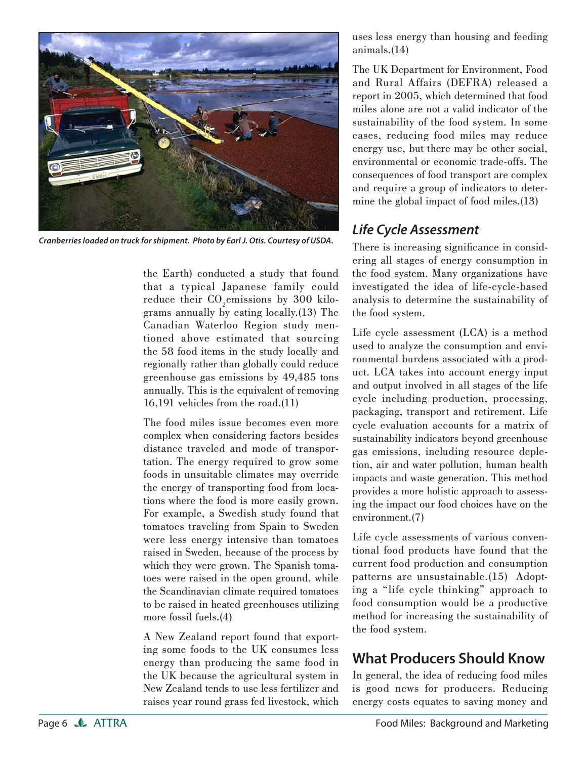

*Cranberries loaded on truck for shipment. Photo by Earl J. Otis. Courtesy of USDA.*

the Earth) conducted a study that found that a typical Japanese family could reduce their  $CO<sub>2</sub>$ emissions by 300 kilograms annually by eating locally.(13) The Canadian Waterloo Region study mentioned above estimated that sourcing the 58 food items in the study locally and regionally rather than globally could reduce greenhouse gas emissions by 49,485 tons annually. This is the equivalent of removing 16,191 vehicles from the road.(11)

The food miles issue becomes even more complex when considering factors besides distance traveled and mode of transportation. The energy required to grow some foods in unsuitable climates may override the energy of transporting food from locations where the food is more easily grown. For example, a Swedish study found that tomatoes traveling from Spain to Sweden were less energy intensive than tomatoes raised in Sweden, because of the process by which they were grown. The Spanish tomatoes were raised in the open ground, while the Scandinavian climate required tomatoes to be raised in heated greenhouses utilizing more fossil fuels.(4)

A New Zealand report found that exporting some foods to the UK consumes less energy than producing the same food in the UK because the agricultural system in New Zealand tends to use less fertilizer and raises year round grass fed livestock, which uses less energy than housing and feeding animals.(14)

The UK Department for Environment, Food and Rural Affairs (DEFRA) released a report in 2005, which determined that food miles alone are not a valid indicator of the sustainability of the food system. In some cases, reducing food miles may reduce energy use, but there may be other social, environmental or economic trade-offs. The consequences of food transport are complex and require a group of indicators to determine the global impact of food miles.(13)

#### *Life Cycle Assessment*

There is increasing significance in considering all stages of energy consumption in the food system. Many organizations have investigated the idea of life-cycle-based analysis to determine the sustainability of the food system.

Life cycle assessment (LCA) is a method used to analyze the consumption and environmental burdens associated with a product. LCA takes into account energy input and output involved in all stages of the life cycle including production, processing, packaging, transport and retirement. Life cycle evaluation accounts for a matrix of sustainability indicators beyond greenhouse gas emissions, including resource depletion, air and water pollution, human health impacts and waste generation. This method provides a more holistic approach to assessing the impact our food choices have on the environment.(7)

Life cycle assessments of various conventional food products have found that the current food production and consumption patterns are unsustainable.(15) Adopting a "life cycle thinking" approach to food consumption would be a productive method for increasing the sustainability of the food system.

## **What Producers Should Know**

In general, the idea of reducing food miles is good news for producers. Reducing energy costs equates to saving money and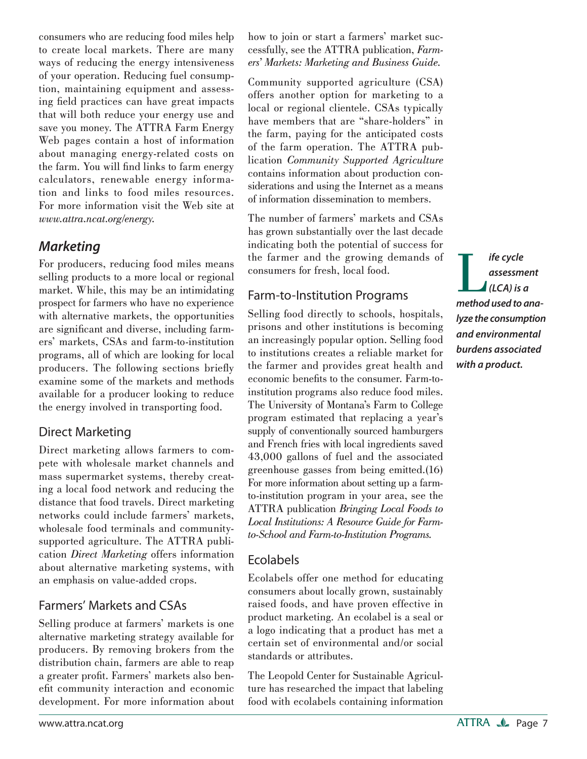consumers who are reducing food miles help to create local markets. There are many ways of reducing the energy intensiveness of your operation. Reducing fuel consumption, maintaining equipment and assessing field practices can have great impacts that will both reduce your energy use and save you money. The ATTRA Farm Energy Web pages contain a host of information about managing energy-related costs on the farm. You will find links to farm energy calculators, renewable energy information and links to food miles resources. For more information visit the Web site at *www.attra.ncat.org/energy.* 

#### *Marketing*

For producers, reducing food miles means selling products to a more local or regional market. While, this may be an intimidating prospect for farmers who have no experience with alternative markets, the opportunities are significant and diverse, including farmers' markets, CSAs and farm-to-institution programs, all of which are looking for local producers. The following sections briefly examine some of the markets and methods available for a producer looking to reduce the energy involved in transporting food.

#### Direct Marketing

Direct marketing allows farmers to compete with wholesale market channels and mass supermarket systems, thereby creating a local food network and reducing the distance that food travels. Direct marketing networks could include farmers' markets, wholesale food terminals and communitysupported agriculture. The ATTRA publication *Direct Marketing* offers information about alternative marketing systems, with an emphasis on value-added crops.

#### Farmers' Markets and CSAs

Selling produce at farmers' markets is one alternative marketing strategy available for producers. By removing brokers from the distribution chain, farmers are able to reap a greater profit. Farmers' markets also benefit community interaction and economic development. For more information about how to join or start a farmers' market successfully, see the ATTRA publication, *Farmers' Markets: Marketing and Business Guide.*

Community supported agriculture (CSA) offers another option for marketing to a local or regional clientele. CSAs typically have members that are "share-holders" in the farm, paying for the anticipated costs of the farm operation. The ATTRA publication *Community Supported Agriculture*  contains information about production considerations and using the Internet as a means of information dissemination to members.

The number of farmers' markets and CSAs has grown substantially over the last decade indicating both the potential of success for the farmer and the growing demands of consumers for fresh, local food.

#### Farm-to-Institution Programs

Selling food directly to schools, hospitals, prisons and other institutions is becoming an increasingly popular option. Selling food to institutions creates a reliable market for the farmer and provides great health and economic benefits to the consumer. Farm-toinstitution programs also reduce food miles. The University of Montana's Farm to College program estimated that replacing a year's supply of conventionally sourced hamburgers and French fries with local ingredients saved 43,000 gallons of fuel and the associated greenhouse gasses from being emitted.(16) For more information about setting up a farmto-institution program in your area, see the ATTRA publication *Bringing Local Foods to Local Institutions: A Resource Guide for Farmto-School and Farm-to-Institution Programs.*

#### Ecolabels

Ecolabels offer one method for educating consumers about locally grown, sustainably raised foods, and have proven effective in product marketing. An ecolabel is a seal or a logo indicating that a product has met a certain set of environmental and/or social standards or attributes.

The Leopold Center for Sustainable Agriculture has researched the impact that labeling food with ecolabels containing information

**IF** *ife cycle*<br> *assessment*<br> *(LCA) is a*<br> *method used to anaassessment (LCA) is a lyze the consumption and environmental burdens associated with a product.*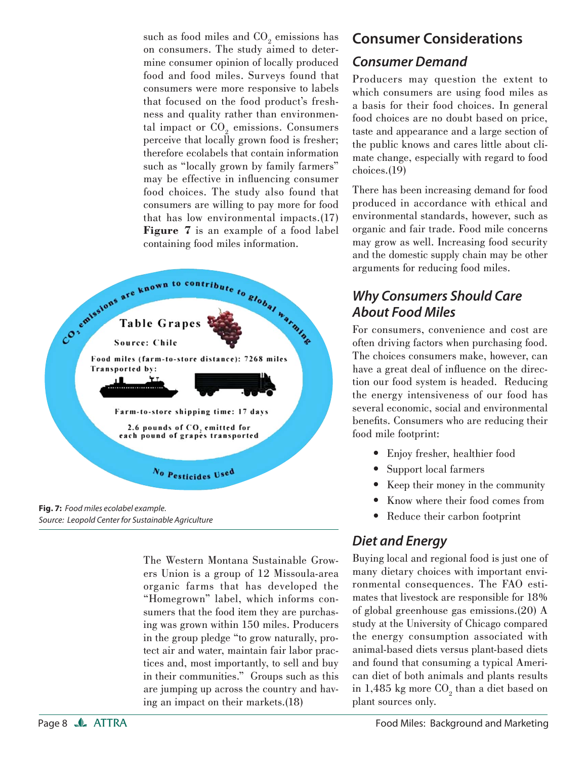such as food miles and  $\mathrm{CO}_2$  emissions has on consumers. The study aimed to determine consumer opinion of locally produced food and food miles. Surveys found that consumers were more responsive to labels that focused on the food product's freshness and quality rather than environmental impact or  $\mathrm{CO}_2$  emissions. Consumers perceive that locally grown food is fresher; therefore ecolabels that contain information such as "locally grown by family farmers" may be effective in influencing consumer food choices. The study also found that consumers are willing to pay more for food that has low environmental impacts.(17) **Figure 7** is an example of a food label containing food miles information.



• **Fig. 7:**Food miles ecolabel example. Source: Leopold Center for Sustainable Agriculture

The Western Montana Sustainable Growers Union is a group of 12 Missoula-area organic farms that has developed the "Homegrown" label, which informs consumers that the food item they are purchasing was grown within 150 miles. Producers in the group pledge "to grow naturally, protect air and water, maintain fair labor practices and, most importantly, to sell and buy in their communities." Groups such as this are jumping up across the country and having an impact on their markets.(18)

## **Consumer Considerations**

#### *Consumer Demand*

Producers may question the extent to which consumers are using food miles as a basis for their food choices. In general food choices are no doubt based on price, taste and appearance and a large section of the public knows and cares little about climate change, especially with regard to food choices.(19)

There has been increasing demand for food produced in accordance with ethical and environmental standards, however, such as organic and fair trade. Food mile concerns may grow as well. Increasing food security and the domestic supply chain may be other arguments for reducing food miles.

## *Why Consumers Should Care About Food Miles*

For consumers, convenience and cost are often driving factors when purchasing food. The choices consumers make, however, can have a great deal of influence on the direction our food system is headed. Reducing the energy intensiveness of our food has several economic, social and environmental benefits. Consumers who are reducing their food mile footprint:

- Enjoy fresher, healthier food •
- Support local farmers
- Keep their money in the community
- Know where their food comes from •
- Reduce their carbon footprint

## *Diet and Energy*

Buying local and regional food is just one of many dietary choices with important environmental consequences. The FAO estimates that livestock are responsible for 18% of global greenhouse gas emissions.(20) A study at the University of Chicago compared the energy consumption associated with animal-based diets versus plant-based diets and found that consuming a typical American diet of both animals and plants results in 1,485 kg more  $\mathrm{CO}_2$  than a diet based on plant sources only.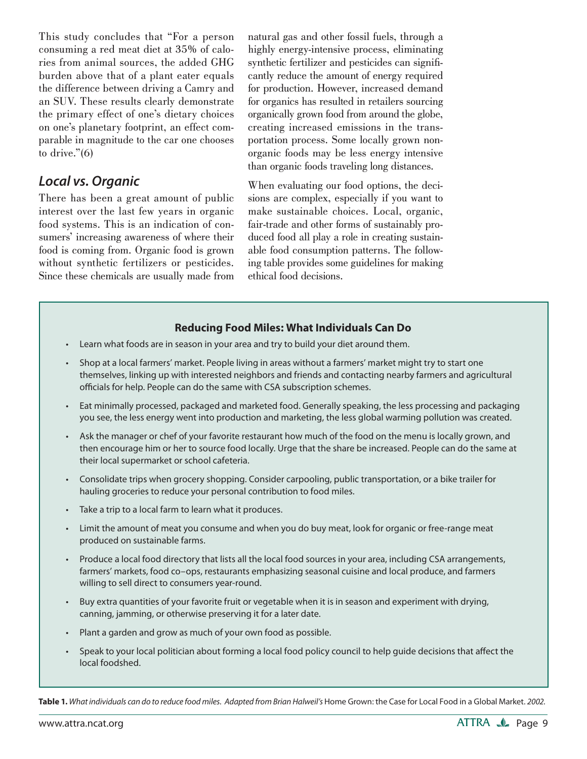This study concludes that "For a person consuming a red meat diet at 35% of calories from animal sources, the added GHG burden above that of a plant eater equals the difference between driving a Camry and an SUV. These results clearly demonstrate the primary effect of one's dietary choices on one's planetary footprint, an effect comparable in magnitude to the car one chooses to drive."(6)

#### *Local vs. Organic*

There has been a great amount of public interest over the last few years in organic food systems. This is an indication of consumers' increasing awareness of where their food is coming from. Organic food is grown without synthetic fertilizers or pesticides. Since these chemicals are usually made from natural gas and other fossil fuels, through a highly energy-intensive process, eliminating synthetic fertilizer and pesticides can significantly reduce the amount of energy required for production. However, increased demand for organics has resulted in retailers sourcing organically grown food from around the globe, creating increased emissions in the transportation process. Some locally grown nonorganic foods may be less energy intensive than organic foods traveling long distances.

When evaluating our food options, the decisions are complex, especially if you want to make sustainable choices. Local, organic, fair-trade and other forms of sustainably produced food all play a role in creating sustainable food consumption patterns. The following table provides some guidelines for making ethical food decisions.

#### **Reducing Food Miles: What Individuals Can Do**

- Learn what foods are in season in your area and try to build your diet around them. •
- Shop at a local farmers' market. People living in areas without a farmers' market might try to start one themselves, linking up with interested neighbors and friends and contacting nearby farmers and agricultural officials for help. People can do the same with CSA subscription schemes. •
- Eat minimally processed, packaged and marketed food. Generally speaking, the less processing and packaging you see, the less energy went into production and marketing, the less global warming pollution was created.
- $\bullet$  Ask the manager or chef of your favorite restaurant how much of the food on the menu is locally grown, and then encourage him or her to source food locally. Urge that the share be increased. People can do the same at their local supermarket or school cafeteria.
- Consolidate trips when grocery shopping. Consider carpooling, public transportation, or a bike trailer for hauling groceries to reduce your personal contribution to food miles. •
- Take a trip to a local farm to learn what it produces. •
- Limit the amount of meat you consume and when you do buy meat, look for organic or free-range meat produced on sustainable farms. •
- Produce a local food directory that lists all the local food sources in your area, including CSA arrangements, farmers' markets, food co–ops, restaurants emphasizing seasonal cuisine and local produce, and farmers willing to sell direct to consumers year-round. •
- Buy extra quantities of your favorite fruit or vegetable when it is in season and experiment with drying, canning, jamming, or otherwise preserving it for a later date. •
- Plant a garden and grow as much of your own food as possible. •
- Speak to your local politician about forming a local food policy council to help quide decisions that affect the local foodshed. •

Table 1. What individuals can do to reduce food miles. Adapted from Brian Halweil's Home Grown: the Case for Local Food in a Global Market. 2002.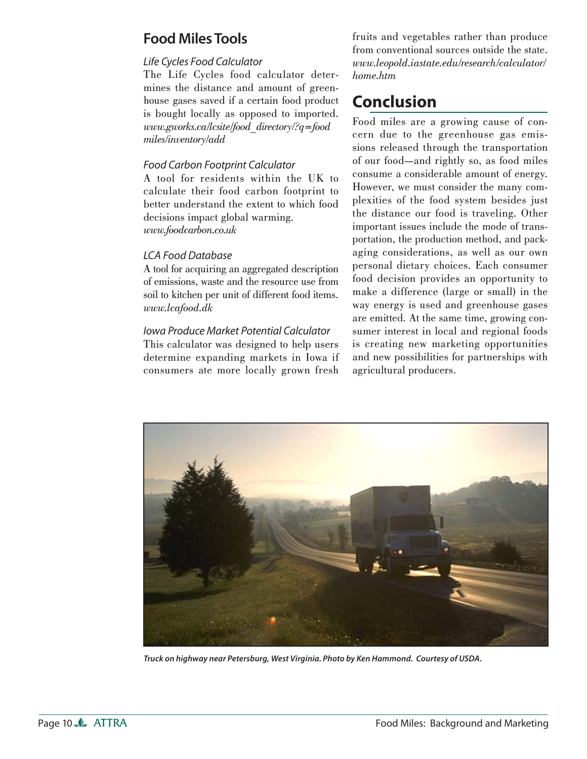## **Food Miles Tools**

#### Life Cycles Food Calculator

The Life Cycles food calculator determines the distance and amount of greenhouse gases saved if a certain food product is bought locally as opposed to imported. *www.gworks.ca/lcsite/food\_directory/?q=food miles/inventory/add*

#### Food Carbon Footprint Calculator

A tool for residents within the UK to calculate their food carbon footprint to better understand the extent to which food decisions impact global warming. *www.foodcarbon.co.uk*

#### LCA Food Database

A tool for acquiring an aggregated description of emissions, waste and the resource use from soil to kitchen per unit of different food items. *www.lcafood.dk*

#### Iowa Produce Market Potential Calculator

This calculator was designed to help users determine expanding markets in Iowa if consumers ate more locally grown fresh fruits and vegetables rather than produce from conventional sources outside the state. *www.leopold.iastate.edu/research/calculator/ home.htm*

# **Conclusion**

Food miles are a growing cause of concern due to the greenhouse gas emissions released through the transportation of our food—and rightly so, as food miles consume a considerable amount of energy. However, we must consider the many complexities of the food system besides just the distance our food is traveling. Other important issues include the mode of transportation, the production method, and packaging considerations, as well as our own personal dietary choices. Each consumer food decision provides an opportunity to make a difference (large or small) in the way energy is used and greenhouse gases are emitted. At the same time, growing consumer interest in local and regional foods is creating new marketing opportunities and new possibilities for partnerships with agricultural producers.



*Truck on highway near Petersburg, West Virginia. Photo by Ken Hammond. Courtesy of USDA.*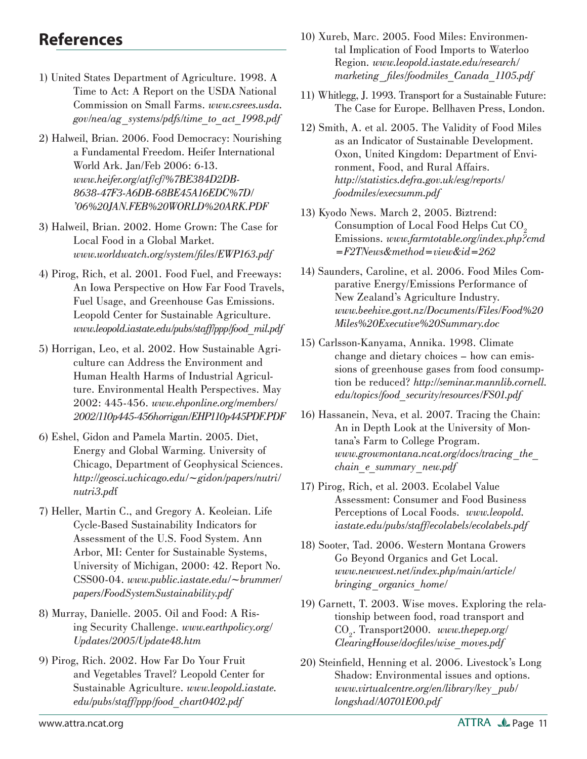# **References**

- 1) United States Department of Agriculture. 1998. A Time to Act: A Report on the USDA National Commission on Small Farms. *www.csrees.usda. gov/nea/ag\_systems/pdfs/time\_to\_act\_1998.pdf*
- 2) Halweil, Brian. 2006. Food Democracy: Nourishing a Fundamental Freedom. Heifer International World Ark. Jan/Feb 2006: 6-13. *www.heifer.org/atf/cf/%7BE384D2DB-8638-47F3-A6DB-68BE45A16EDC%7D/ '06%20JAN.FEB%20WORLD%20ARK.PDF*
- 3) Halweil, Brian. 2002. Home Grown: The Case for Local Food in a Global Market. *www.worldwatch.org/system/fi les/EWP163.pdf*
- 4) Pirog, Rich, et al. 2001. Food Fuel, and Freeways: An Iowa Perspective on How Far Food Travels, Fuel Usage, and Greenhouse Gas Emissions. Leopold Center for Sustainable Agriculture. *www.leopold.iastate.edu/pubs/staff/ppp/food\_mil.pdf*
- 5) Horrigan, Leo, et al. 2002. How Sustainable Agriculture can Address the Environment and Human Health Harms of Industrial Agriculture. Environmental Health Perspectives. May 2002: 445-456. *www.ehponline.org/members/ 2002/110p445-456horrigan/EHP110p445PDF.PDF*
- 6) Eshel, Gidon and Pamela Martin. 2005. Diet, Energy and Global Warming. University of Chicago, Department of Geophysical Sciences. *http://geosci.uchicago.edu/~gidon/papers/nutri/ nutri3.pd*f
- 7) Heller, Martin C., and Gregory A. Keoleian. Life Cycle-Based Sustainability Indicators for Assessment of the U.S. Food System. Ann Arbor, MI: Center for Sustainable Systems, University of Michigan, 2000: 42. Report No. CSS00-04. *www.public.iastate.edu/~brummer/ papers/FoodSystemSustainability.pdf*
- 8) Murray, Danielle. 2005. Oil and Food: A Rising Security Challenge. *www.earthpolicy.org/ Updates/2005/Update48.htm*
- 9) Pirog, Rich. 2002. How Far Do Your Fruit and Vegetables Travel? Leopold Center for Sustainable Agriculture. *www.leopold.iastate. edu/pubs/staff/ppp/food\_chart0402.pdf*
- 10) Xureb, Marc. 2005. Food Miles: Environmental Implication of Food Imports to Waterloo Region. *www.leopold.iastate.edu/research/ marketing\_fi les/foodmiles\_Canada\_1105.pdf*
- 11) Whitlegg, J. 1993. Transport for a Sustainable Future: The Case for Europe. Bellhaven Press, London.
- 12) Smith, A. et al. 2005. The Validity of Food Miles as an Indicator of Sustainable Development. Oxon, United Kingdom: Department of Environment, Food, and Rural Affairs. *http://statistics.defra.gov.uk/esg/reports/ foodmiles/execsumm.pdf*
- 13) Kyodo News. March 2, 2005. Biztrend: Consumption of Local Food Helps Cut CO<sub>2</sub> Emissions. *www.farmtotable.org/index.php?cmd =F2TNews&method=view&id=262*
- 14) Saunders, Caroline, et al. 2006. Food Miles Comparative Energy/Emissions Performance of New Zealand's Agriculture Industry. *www.beehive.govt.nz/Documents/Files/Food%20 Miles%20Executive%20Summary.doc*
- 15) Carlsson-Kanyama, Annika. 1998. Climate change and dietary choices – how can emissions of greenhouse gases from food consumption be reduced? *http://seminar.mannlib.cornell. edu/topics/food\_security/resources/FS01.pdf*
- 16) Hassanein, Neva, et al. 2007. Tracing the Chain: An in Depth Look at the University of Montana's Farm to College Program. *www.growmontana.ncat.org/docs/tracing\_the\_ chain\_e\_summary\_new.pdf*
- 17) Pirog, Rich, et al. 2003. Ecolabel Value Assessment: Consumer and Food Business Perceptions of Local Foods. *www.leopold. iastate.edu/pubs/staff/ecolabels/ecolabels.pdf*
- 18) Sooter, Tad. 2006. Western Montana Growers Go Beyond Organics and Get Local. *www.newwest.net/index.php/main/article/ bringing\_organics\_home/*
- 19) Garnett, T. 2003. Wise moves. Exploring the relationship between food, road transport and CO2 . Transport2000. *www.thepep.org/ ClearingHouse/docfi les/wise\_moves.pdf*
- 20) Steinfield, Henning et al. 2006. Livestock's Long Shadow: Environmental issues and options. *www.virtualcentre.org/en/library/key\_pub/ longshad/A0701E00.pdf*